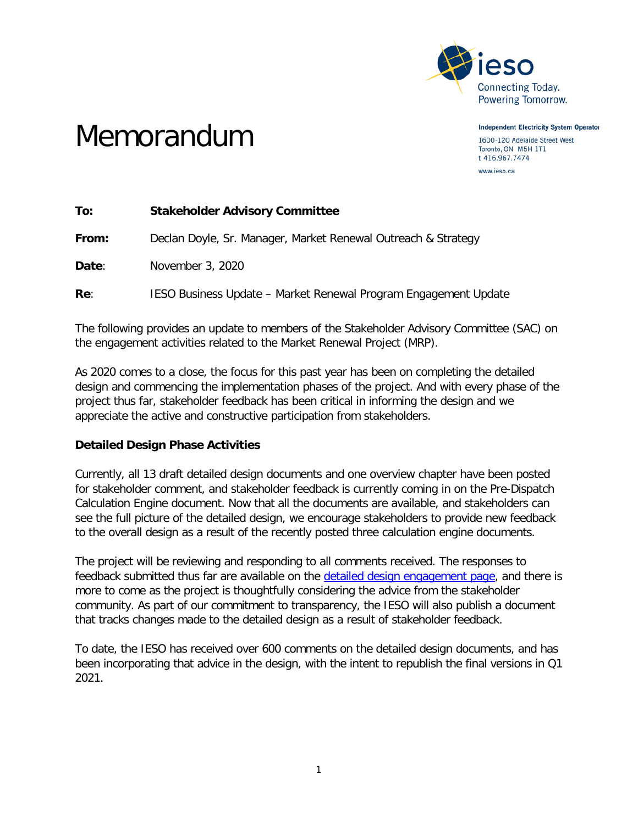

Memorandum

**Independent Electricity System Operator** 1600-120 Adelaide Street West Toronto, ON M5H 1T1 t 416.967.7474 www.ieso.ca

| To:   | <b>Stakeholder Advisory Committee</b>                           |
|-------|-----------------------------------------------------------------|
| From: | Declan Doyle, Sr. Manager, Market Renewal Outreach & Strategy   |
| Date: | November 3, 2020                                                |
| Re:   | IESO Business Update – Market Renewal Program Engagement Update |

The following provides an update to members of the Stakeholder Advisory Committee (SAC) on the engagement activities related to the Market Renewal Project (MRP).

As 2020 comes to a close, the focus for this past year has been on completing the detailed design and commencing the implementation phases of the project. And with every phase of the project thus far, stakeholder feedback has been critical in informing the design and we appreciate the active and constructive participation from stakeholders.

## **Detailed Design Phase Activities**

Currently, all 13 draft detailed design documents and one overview chapter have been posted for stakeholder comment, and stakeholder feedback is currently coming in on the Pre-Dispatch Calculation Engine document. Now that all the documents are available, and stakeholders can see the full picture of the detailed design, we encourage stakeholders to provide new feedback to the overall design as a result of the recently posted three calculation engine documents.

The project will be reviewing and responding to all comments received. The responses to feedback submitted thus far are available on the [detailed design engagement page,](http://ieso.ca/Market-Renewal/Stakeholder-Engagements/Energy-Detailed-Design-Engagement) and there is more to come as the project is thoughtfully considering the advice from the stakeholder community. As part of our commitment to transparency, the IESO will also publish a document that tracks changes made to the detailed design as a result of stakeholder feedback.

To date, the IESO has received over 600 comments on the detailed design documents, and has been incorporating that advice in the design, with the intent to republish the final versions in Q1 2021.